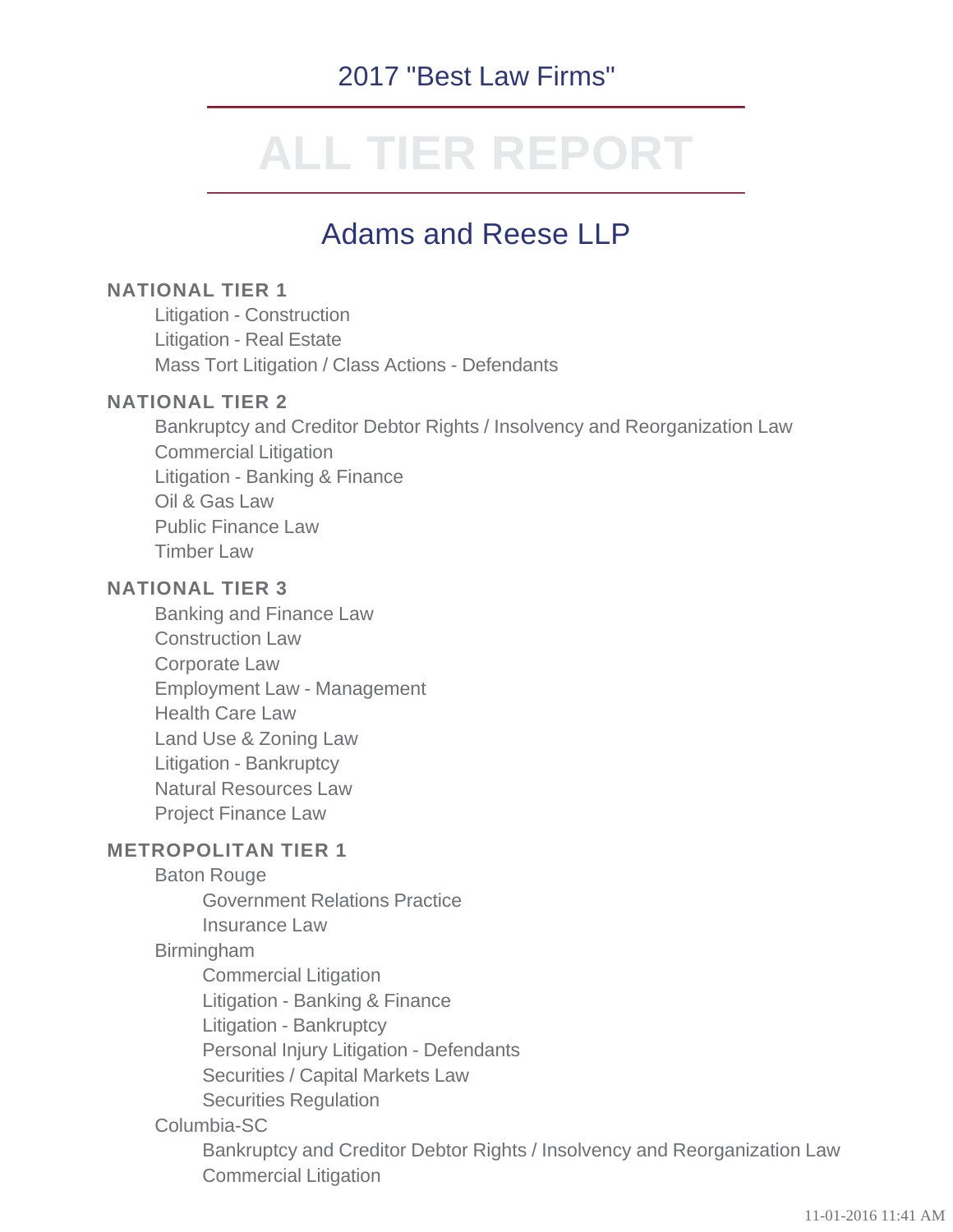# 2017 "Best Law Firms"

# **ALL TIER REPORT**

# Adams and Reese LLP

## **NATIONAL TIER 1**

Litigation - Construction Litigation - Real Estate Mass Tort Litigation / Class Actions - Defendants

## **NATIONAL TIER 2**

Bankruptcy and Creditor Debtor Rights / Insolvency and Reorganization Law Commercial Litigation Litigation - Banking & Finance Oil & Gas Law Public Finance Law Timber Law

# **NATIONAL TIER 3**

Banking and Finance Law Construction Law Corporate Law Employment Law - Management Health Care Law Land Use & Zoning Law Litigation - Bankruptcy Natural Resources Law Project Finance Law

### **METROPOLITAN TIER 1**

#### Baton Rouge

Government Relations Practice

Insurance Law

### Birmingham

Commercial Litigation

Litigation - Banking & Finance

Litigation - Bankruptcy

Personal Injury Litigation - Defendants

Securities / Capital Markets Law

Securities Regulation

# Columbia-SC

Bankruptcy and Creditor Debtor Rights / Insolvency and Reorganization Law Commercial Litigation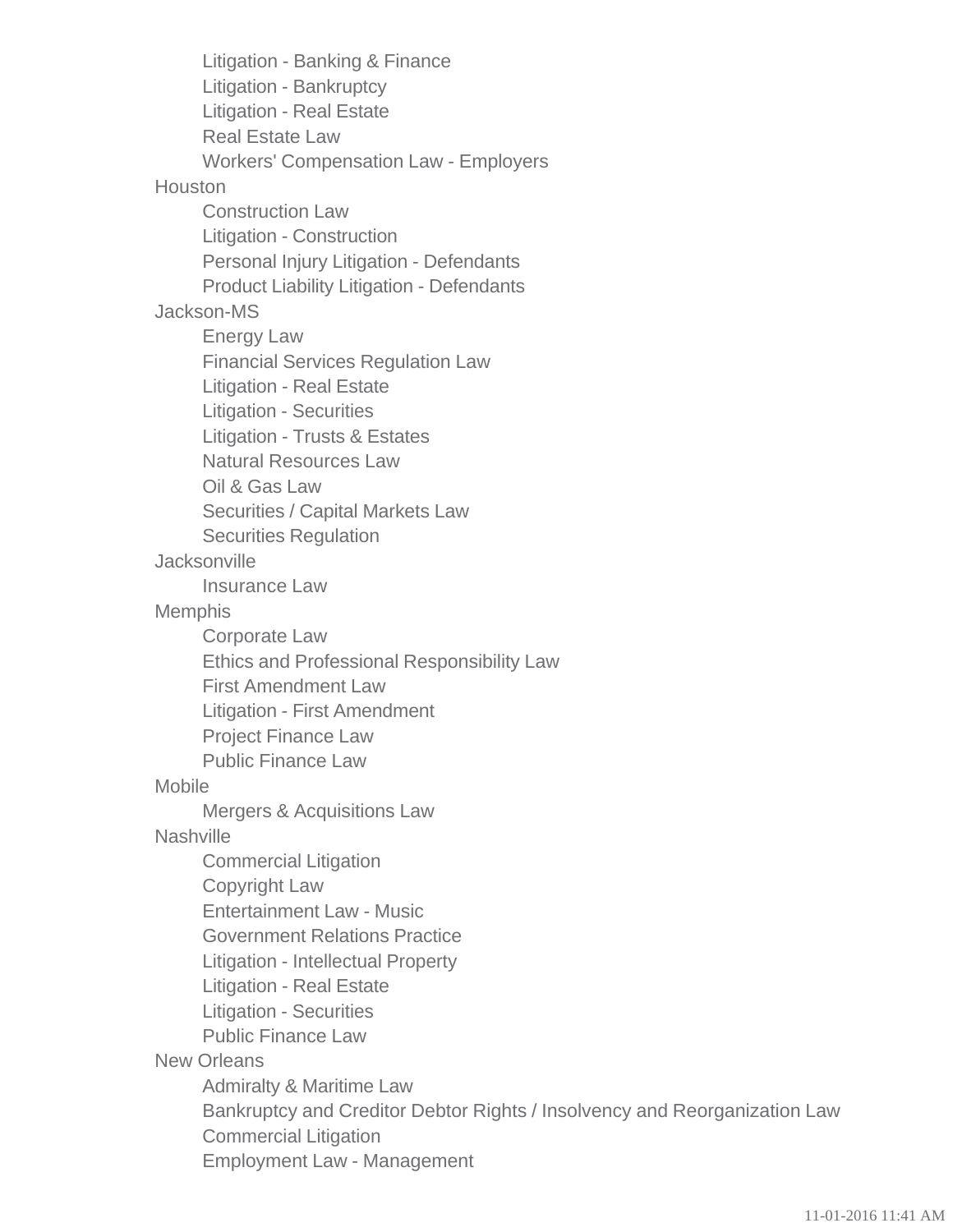Litigation - Banking & Finance Litigation - Bankruptcy Litigation - Real Estate Real Estate Law Workers' Compensation Law - Employers **Houston** Construction Law Litigation - Construction Personal Injury Litigation - Defendants Product Liability Litigation - Defendants Jackson-MS Energy Law Financial Services Regulation Law Litigation - Real Estate Litigation - Securities Litigation - Trusts & Estates Natural Resources Law Oil & Gas Law Securities / Capital Markets Law Securities Regulation **Jacksonville** Insurance Law **Memphis** Corporate Law Ethics and Professional Responsibility Law First Amendment Law Litigation - First Amendment Project Finance Law Public Finance Law Mobile Mergers & Acquisitions Law **Nashville** Commercial Litigation Copyright Law Entertainment Law - Music Government Relations Practice Litigation - Intellectual Property Litigation - Real Estate Litigation - Securities Public Finance Law New Orleans Admiralty & Maritime Law Bankruptcy and Creditor Debtor Rights / Insolvency and Reorganization Law Commercial Litigation Employment Law - Management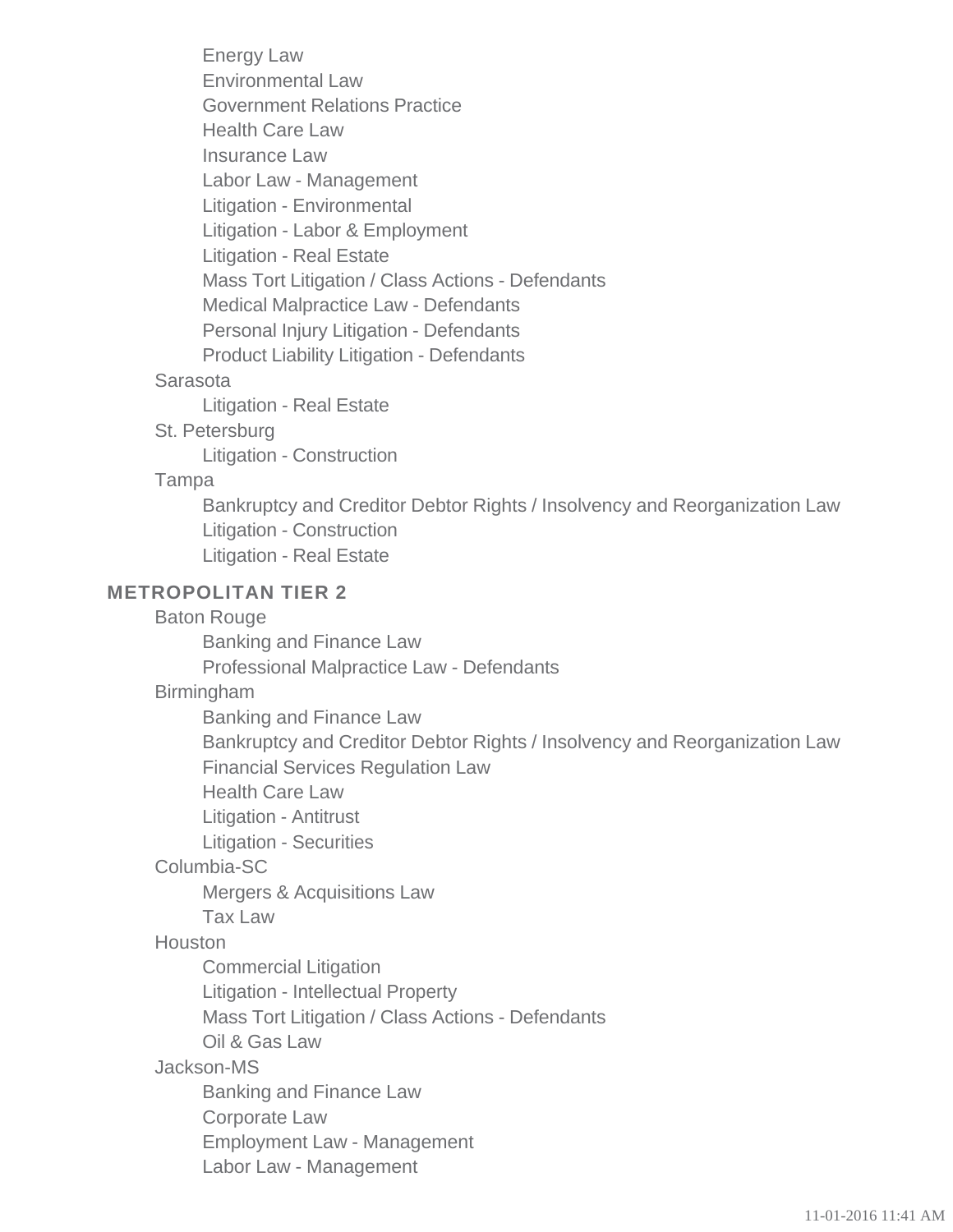Energy Law Environmental Law Government Relations Practice Health Care Law Insurance Law Labor Law - Management Litigation - Environmental Litigation - Labor & Employment Litigation - Real Estate Mass Tort Litigation / Class Actions - Defendants Medical Malpractice Law - Defendants Personal Injury Litigation - Defendants Product Liability Litigation - Defendants

### Sarasota

Litigation - Real Estate

St. Petersburg

Litigation - Construction

#### Tampa

Bankruptcy and Creditor Debtor Rights / Insolvency and Reorganization Law Litigation - Construction Litigation - Real Estate

### **METROPOLITAN TIER 2**

Baton Rouge

Banking and Finance Law

Professional Malpractice Law - Defendants

### Birmingham

Banking and Finance Law

Bankruptcy and Creditor Debtor Rights / Insolvency and Reorganization Law Financial Services Regulation Law

Health Care Law

Litigation - Antitrust

Litigation - Securities

# Columbia-SC

Mergers & Acquisitions Law

Tax Law

# **Houston**

Commercial Litigation

Litigation - Intellectual Property

Mass Tort Litigation / Class Actions - Defendants

Oil & Gas Law

# Jackson-MS

Banking and Finance Law

Corporate Law

Employment Law - Management

Labor Law - Management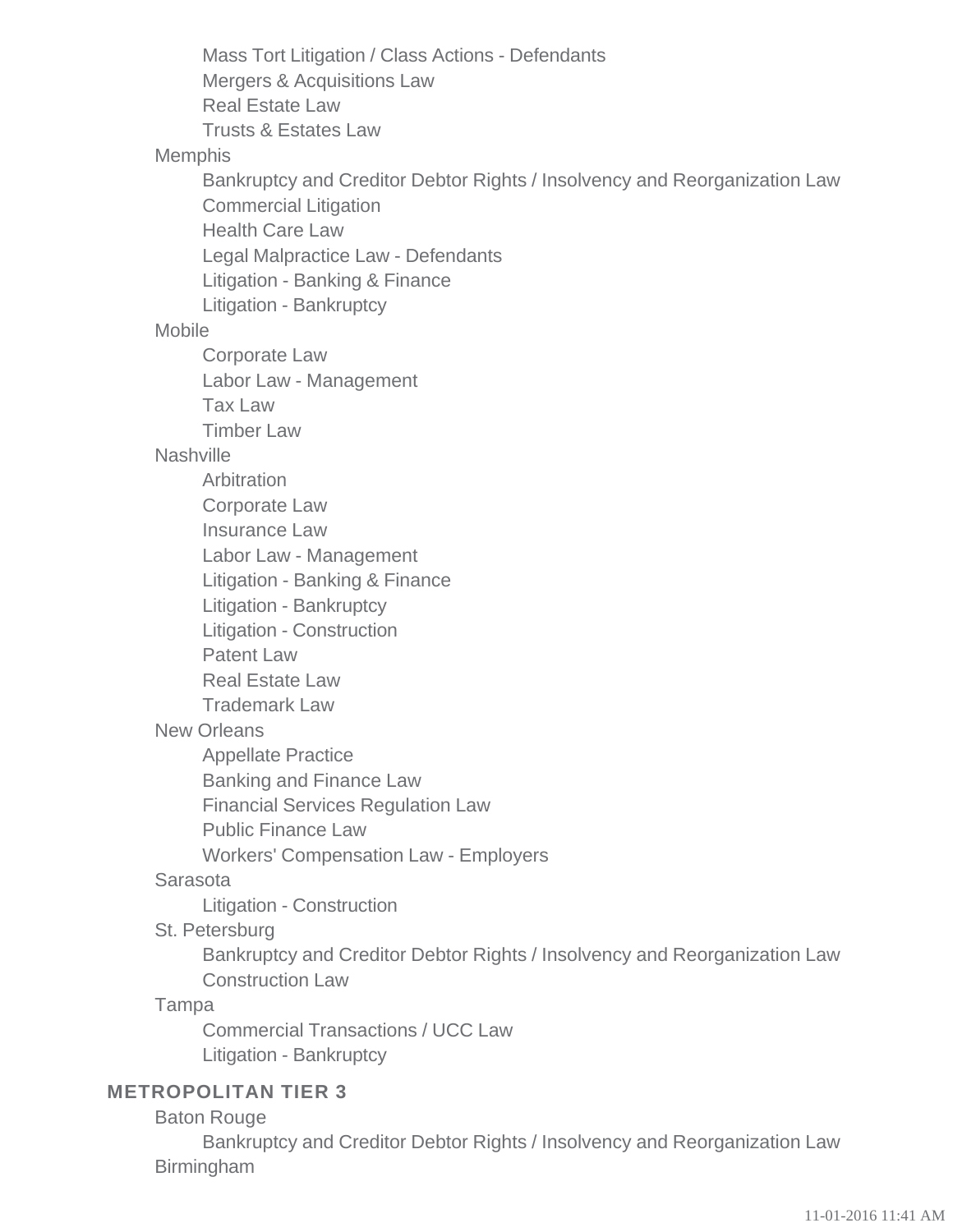Mass Tort Litigation / Class Actions - Defendants Mergers & Acquisitions Law Real Estate Law Trusts & Estates Law Memphis Bankruptcy and Creditor Debtor Rights / Insolvency and Reorganization Law Commercial Litigation Health Care Law Legal Malpractice Law - Defendants Litigation - Banking & Finance Litigation - Bankruptcy Mobile Corporate Law Labor Law - Management Tax Law Timber Law **Nashville Arbitration** Corporate Law Insurance Law Labor Law - Management Litigation - Banking & Finance Litigation - Bankruptcy Litigation - Construction Patent Law Real Estate Law Trademark Law New Orleans Appellate Practice Banking and Finance Law Financial Services Regulation Law Public Finance Law Workers' Compensation Law - Employers Sarasota Litigation - Construction St. Petersburg Bankruptcy and Creditor Debtor Rights / Insolvency and Reorganization Law Construction Law Tampa Commercial Transactions / UCC Law Litigation - Bankruptcy **METROPOLITAN TIER 3**

#### Baton Rouge

Bankruptcy and Creditor Debtor Rights / Insolvency and Reorganization Law Birmingham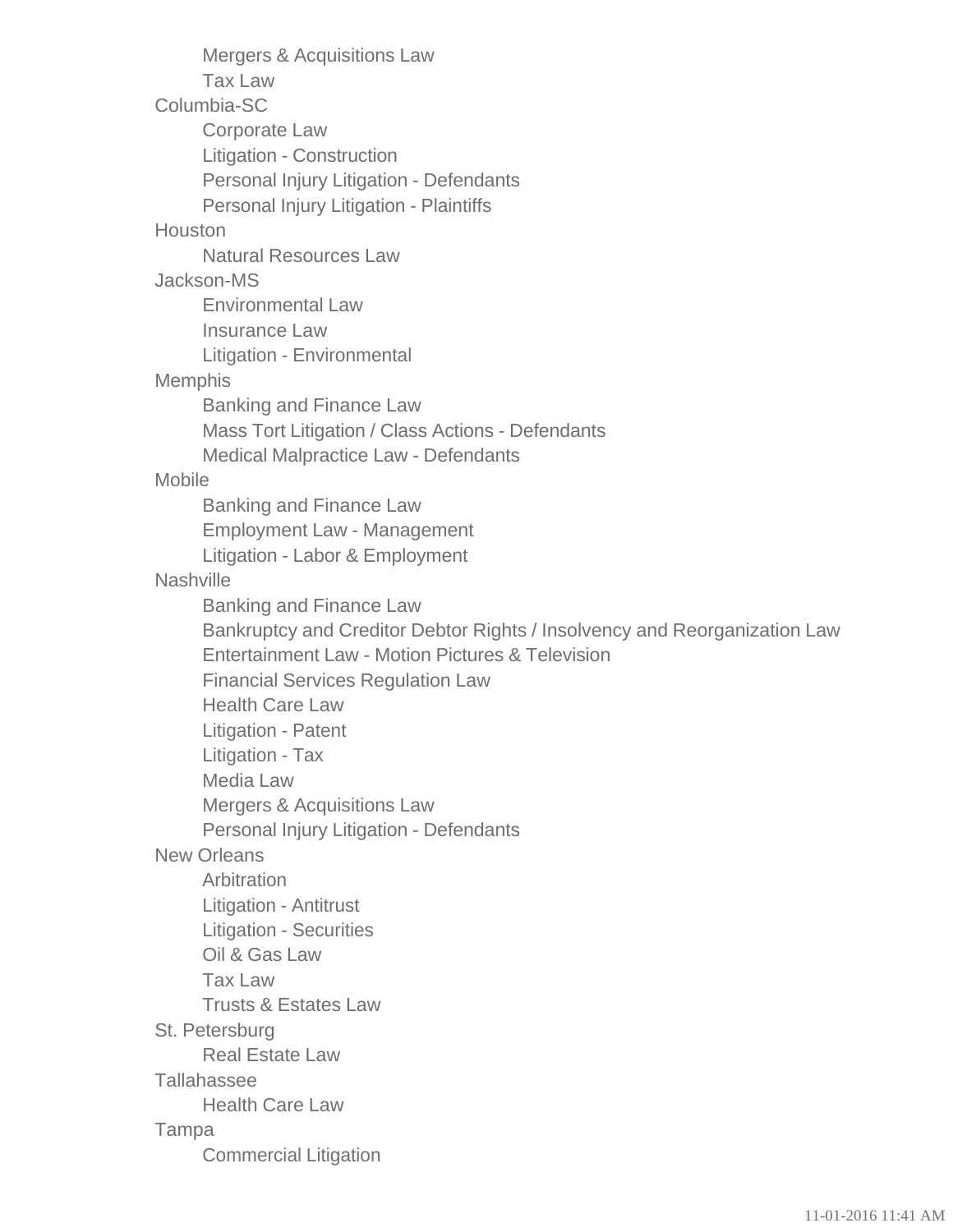Mergers & Acquisitions Law Tax Law Columbia-SC Corporate Law Litigation - Construction Personal Injury Litigation - Defendants Personal Injury Litigation - Plaintiffs Houston Natural Resources Law Jackson-MS Environmental Law Insurance Law Litigation - Environmental Memphis Banking and Finance Law Mass Tort Litigation / Class Actions - Defendants Medical Malpractice Law - Defendants Mobile Banking and Finance Law Employment Law - Management Litigation - Labor & Employment **Nashville** Banking and Finance Law Bankruptcy and Creditor Debtor Rights / Insolvency and Reorganization Law Entertainment Law - Motion Pictures & Television Financial Services Regulation Law Health Care Law Litigation - Patent Litigation - Tax Media Law Mergers & Acquisitions Law Personal Injury Litigation - Defendants New Orleans Arbitration Litigation - Antitrust Litigation - Securities Oil & Gas Law Tax Law Trusts & Estates Law St. Petersburg Real Estate Law **Tallahassee** Health Care Law Tampa Commercial Litigation